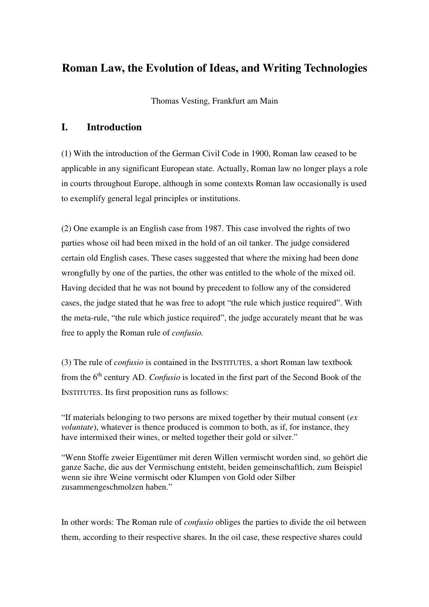# **Roman Law, the Evolution of Ideas, and Writing Technologies**

Thomas Vesting, Frankfurt am Main

## **I. Introduction**

(1) With the introduction of the German Civil Code in 1900, Roman law ceased to be applicable in any significant European state. Actually, Roman law no longer plays a role in courts throughout Europe, although in some contexts Roman law occasionally is used to exemplify general legal principles or institutions.

(2) One example is an English case from 1987. This case involved the rights of two parties whose oil had been mixed in the hold of an oil tanker. The judge considered certain old English cases. These cases suggested that where the mixing had been done wrongfully by one of the parties, the other was entitled to the whole of the mixed oil. Having decided that he was not bound by precedent to follow any of the considered cases, the judge stated that he was free to adopt "the rule which justice required". With the meta-rule, "the rule which justice required", the judge accurately meant that he was free to apply the Roman rule of *confusio.*

(3) The rule of *confusio* is contained in the INSTITUTES, a short Roman law textbook from the 6<sup>th</sup> century AD. *Confusio* is located in the first part of the Second Book of the INSTITUTES. Its first proposition runs as follows:

"If materials belonging to two persons are mixed together by their mutual consent (*ex voluntate*), whatever is thence produced is common to both, as if, for instance, they have intermixed their wines, or melted together their gold or silver."

"Wenn Stoffe zweier Eigentümer mit deren Willen vermischt worden sind, so gehört die ganze Sache, die aus der Vermischung entsteht, beiden gemeinschaftlich, zum Beispiel wenn sie ihre Weine vermischt oder Klumpen von Gold oder Silber zusammengeschmolzen haben."

In other words: The Roman rule of *confusio* obliges the parties to divide the oil between them, according to their respective shares. In the oil case, these respective shares could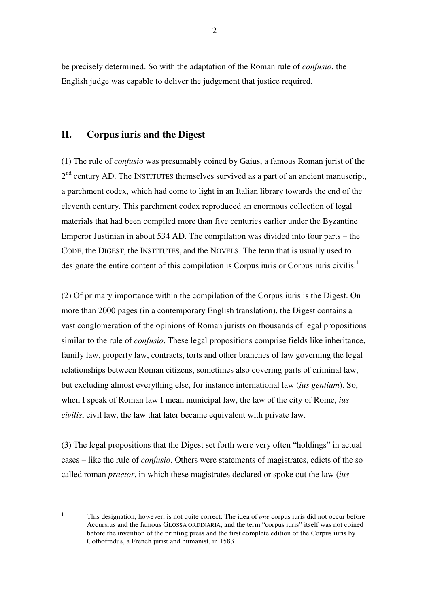be precisely determined. So with the adaptation of the Roman rule of *confusio*, the English judge was capable to deliver the judgement that justice required.

## **II. Corpus iuris and the Digest**

 $\overline{a}$ 

(1) The rule of *confusio* was presumably coined by Gaius, a famous Roman jurist of the  $2<sup>nd</sup>$  century AD. The INSTITUTES themselves survived as a part of an ancient manuscript, a parchment codex, which had come to light in an Italian library towards the end of the eleventh century. This parchment codex reproduced an enormous collection of legal materials that had been compiled more than five centuries earlier under the Byzantine Emperor Justinian in about 534 AD. The compilation was divided into four parts – the CODE, the DIGEST, the INSTITUTES, and the NOVELS. The term that is usually used to designate the entire content of this compilation is Corpus iuris or Corpus iuris civilis.<sup>1</sup>

(2) Of primary importance within the compilation of the Corpus iuris is the Digest. On more than 2000 pages (in a contemporary English translation), the Digest contains a vast conglomeration of the opinions of Roman jurists on thousands of legal propositions similar to the rule of *confusio*. These legal propositions comprise fields like inheritance, family law, property law, contracts, torts and other branches of law governing the legal relationships between Roman citizens, sometimes also covering parts of criminal law, but excluding almost everything else, for instance international law (*ius gentium*). So, when I speak of Roman law I mean municipal law, the law of the city of Rome, *ius civilis*, civil law, the law that later became equivalent with private law.

(3) The legal propositions that the Digest set forth were very often "holdings" in actual cases – like the rule of *confusio*. Others were statements of magistrates, edicts of the so called roman *praetor*, in which these magistrates declared or spoke out the law (*ius* 

<sup>1</sup> This designation, however, is not quite correct: The idea of *one* corpus iuris did not occur before Accursius and the famous GLOSSA ORDINARIA, and the term "corpus iuris" itself was not coined before the invention of the printing press and the first complete edition of the Corpus iuris by Gothofredus, a French jurist and humanist, in 1583.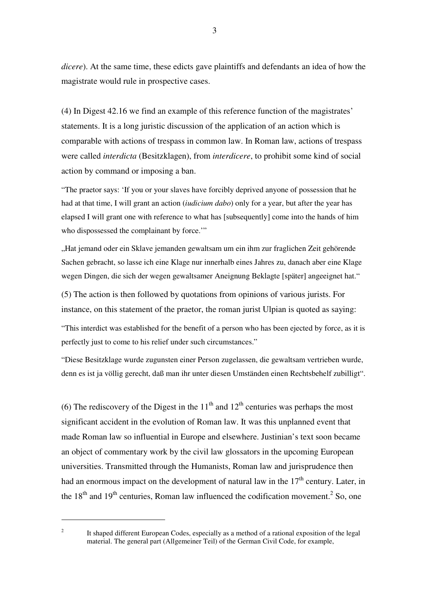*dicere*). At the same time, these edicts gave plaintiffs and defendants an idea of how the magistrate would rule in prospective cases.

(4) In Digest 42.16 we find an example of this reference function of the magistrates' statements. It is a long juristic discussion of the application of an action which is comparable with actions of trespass in common law. In Roman law, actions of trespass were called *interdicta* (Besitzklagen), from *interdicere*, to prohibit some kind of social action by command or imposing a ban.

"The praetor says: 'If you or your slaves have forcibly deprived anyone of possession that he had at that time, I will grant an action (*iudicium dabo*) only for a year, but after the year has elapsed I will grant one with reference to what has [subsequently] come into the hands of him who dispossessed the complainant by force."

"Hat jemand oder ein Sklave jemanden gewaltsam um ein ihm zur fraglichen Zeit gehörende Sachen gebracht, so lasse ich eine Klage nur innerhalb eines Jahres zu, danach aber eine Klage wegen Dingen, die sich der wegen gewaltsamer Aneignung Beklagte [später] angeeignet hat."

(5) The action is then followed by quotations from opinions of various jurists. For instance, on this statement of the praetor, the roman jurist Ulpian is quoted as saying:

"This interdict was established for the benefit of a person who has been ejected by force, as it is perfectly just to come to his relief under such circumstances."

"Diese Besitzklage wurde zugunsten einer Person zugelassen, die gewaltsam vertrieben wurde, denn es ist ja völlig gerecht, daß man ihr unter diesen Umständen einen Rechtsbehelf zubilligt".

(6) The rediscovery of the Digest in the  $11<sup>th</sup>$  and  $12<sup>th</sup>$  centuries was perhaps the most significant accident in the evolution of Roman law. It was this unplanned event that made Roman law so influential in Europe and elsewhere. Justinian's text soon became an object of commentary work by the civil law glossators in the upcoming European universities. Transmitted through the Humanists, Roman law and jurisprudence then had an enormous impact on the development of natural law in the  $17<sup>th</sup>$  century. Later, in the  $18<sup>th</sup>$  and  $19<sup>th</sup>$  centuries, Roman law influenced the codification movement.<sup>2</sup> So, one

It shaped different European Codes, especially as a method of a rational exposition of the legal material. The general part (Allgemeiner Teil) of the German Civil Code, for example,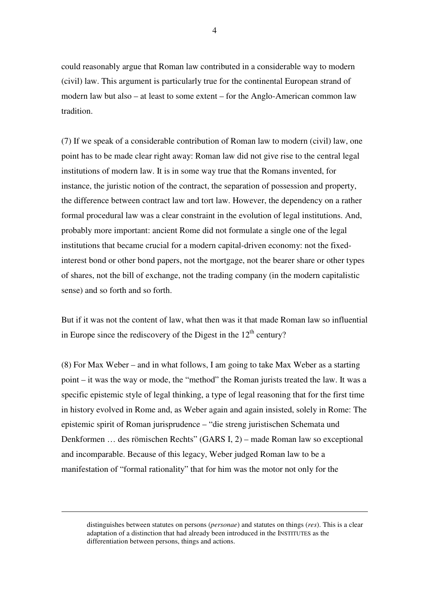could reasonably argue that Roman law contributed in a considerable way to modern (civil) law. This argument is particularly true for the continental European strand of modern law but also – at least to some extent – for the Anglo-American common law tradition.

(7) If we speak of a considerable contribution of Roman law to modern (civil) law, one point has to be made clear right away: Roman law did not give rise to the central legal institutions of modern law. It is in some way true that the Romans invented, for instance, the juristic notion of the contract, the separation of possession and property, the difference between contract law and tort law. However, the dependency on a rather formal procedural law was a clear constraint in the evolution of legal institutions. And, probably more important: ancient Rome did not formulate a single one of the legal institutions that became crucial for a modern capital-driven economy: not the fixedinterest bond or other bond papers, not the mortgage, not the bearer share or other types of shares, not the bill of exchange, not the trading company (in the modern capitalistic sense) and so forth and so forth.

But if it was not the content of law, what then was it that made Roman law so influential in Europe since the rediscovery of the Digest in the  $12<sup>th</sup>$  century?

(8) For Max Weber – and in what follows, I am going to take Max Weber as a starting point – it was the way or mode, the "method" the Roman jurists treated the law. It was a specific epistemic style of legal thinking, a type of legal reasoning that for the first time in history evolved in Rome and, as Weber again and again insisted, solely in Rome: The epistemic spirit of Roman jurisprudence – "die streng juristischen Schemata und Denkformen … des römischen Rechts" (GARS I, 2) – made Roman law so exceptional and incomparable. Because of this legacy, Weber judged Roman law to be a manifestation of "formal rationality" that for him was the motor not only for the

distinguishes between statutes on persons (*personae*) and statutes on things (*res*). This is a clear adaptation of a distinction that had already been introduced in the INSTITUTES as the differentiation between persons, things and actions.

-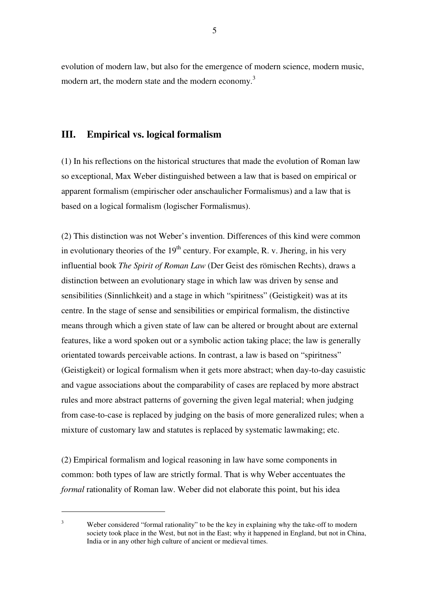evolution of modern law, but also for the emergence of modern science, modern music, modern art, the modern state and the modern economy.<sup>3</sup>

## **III. Empirical vs. logical formalism**

(1) In his reflections on the historical structures that made the evolution of Roman law so exceptional, Max Weber distinguished between a law that is based on empirical or apparent formalism (empirischer oder anschaulicher Formalismus) and a law that is based on a logical formalism (logischer Formalismus).

(2) This distinction was not Weber's invention. Differences of this kind were common in evolutionary theories of the  $19<sup>th</sup>$  century. For example, R. v. Jhering, in his very influential book *The Spirit of Roman Law* (Der Geist des römischen Rechts), draws a distinction between an evolutionary stage in which law was driven by sense and sensibilities (Sinnlichkeit) and a stage in which "spiritness" (Geistigkeit) was at its centre. In the stage of sense and sensibilities or empirical formalism, the distinctive means through which a given state of law can be altered or brought about are external features, like a word spoken out or a symbolic action taking place; the law is generally orientated towards perceivable actions. In contrast, a law is based on "spiritness" (Geistigkeit) or logical formalism when it gets more abstract; when day-to-day casuistic and vague associations about the comparability of cases are replaced by more abstract rules and more abstract patterns of governing the given legal material; when judging from case-to-case is replaced by judging on the basis of more generalized rules; when a mixture of customary law and statutes is replaced by systematic lawmaking; etc.

(2) Empirical formalism and logical reasoning in law have some components in common: both types of law are strictly formal. That is why Weber accentuates the *formal* rationality of Roman law. Weber did not elaborate this point, but his idea

<sup>3</sup> Weber considered "formal rationality" to be the key in explaining why the take-off to modern society took place in the West, but not in the East; why it happened in England, but not in China, India or in any other high culture of ancient or medieval times.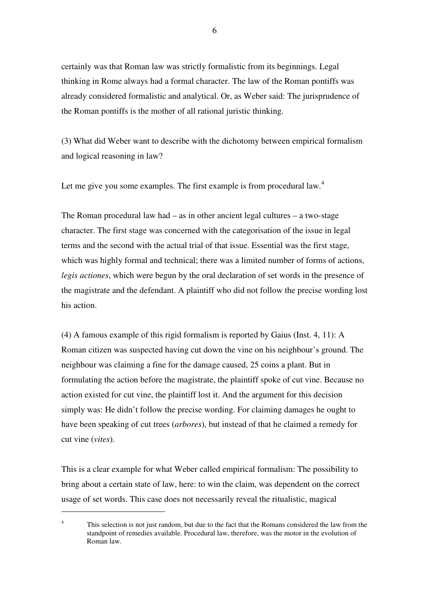certainly was that Roman law was strictly formalistic from its beginnings. Legal thinking in Rome always had a formal character. The law of the Roman pontiffs was already considered formalistic and analytical. Or, as Weber said: The jurisprudence of the Roman pontiffs is the mother of all rational juristic thinking.

(3) What did Weber want to describe with the dichotomy between empirical formalism and logical reasoning in law?

Let me give you some examples. The first example is from procedural law. $4$ 

The Roman procedural law had – as in other ancient legal cultures – a two-stage character. The first stage was concerned with the categorisation of the issue in legal terms and the second with the actual trial of that issue. Essential was the first stage, which was highly formal and technical; there was a limited number of forms of actions, *legis actiones*, which were begun by the oral declaration of set words in the presence of the magistrate and the defendant. A plaintiff who did not follow the precise wording lost his action.

(4) A famous example of this rigid formalism is reported by Gaius (Inst. 4, 11): A Roman citizen was suspected having cut down the vine on his neighbour's ground. The neighbour was claiming a fine for the damage caused, 25 coins a plant. But in formulating the action before the magistrate, the plaintiff spoke of cut vine. Because no action existed for cut vine, the plaintiff lost it. And the argument for this decision simply was: He didn't follow the precise wording. For claiming damages he ought to have been speaking of cut trees (*arbores*), but instead of that he claimed a remedy for cut vine (*vites*).

This is a clear example for what Weber called empirical formalism: The possibility to bring about a certain state of law, here: to win the claim, was dependent on the correct usage of set words. This case does not necessarily reveal the ritualistic, magical

<sup>4</sup> This selection is not just random, but due to the fact that the Romans considered the law from the standpoint of remedies available. Procedural law, therefore, was the motor in the evolution of Roman law.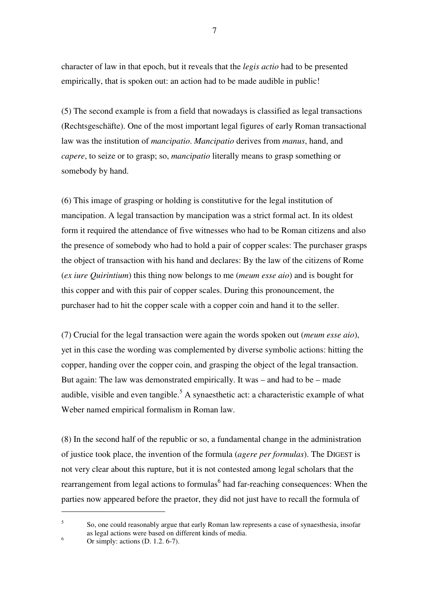character of law in that epoch, but it reveals that the *legis actio* had to be presented empirically, that is spoken out: an action had to be made audible in public!

(5) The second example is from a field that nowadays is classified as legal transactions (Rechtsgeschäfte). One of the most important legal figures of early Roman transactional law was the institution of *mancipatio*. *Mancipatio* derives from *manus*, hand, and *capere*, to seize or to grasp; so, *mancipatio* literally means to grasp something or somebody by hand.

(6) This image of grasping or holding is constitutive for the legal institution of mancipation. A legal transaction by mancipation was a strict formal act. In its oldest form it required the attendance of five witnesses who had to be Roman citizens and also the presence of somebody who had to hold a pair of copper scales: The purchaser grasps the object of transaction with his hand and declares: By the law of the citizens of Rome (*ex iure Quirintium*) this thing now belongs to me (*meum esse aio*) and is bought for this copper and with this pair of copper scales. During this pronouncement, the purchaser had to hit the copper scale with a copper coin and hand it to the seller.

(7) Crucial for the legal transaction were again the words spoken out (*meum esse aio*), yet in this case the wording was complemented by diverse symbolic actions: hitting the copper, handing over the copper coin, and grasping the object of the legal transaction. But again: The law was demonstrated empirically. It was – and had to be – made audible, visible and even tangible.<sup>5</sup> A synaesthetic act: a characteristic example of what Weber named empirical formalism in Roman law.

(8) In the second half of the republic or so, a fundamental change in the administration of justice took place, the invention of the formula (*agere per formulas*). The DIGEST is not very clear about this rupture, but it is not contested among legal scholars that the rearrangement from legal actions to formulas<sup>6</sup> had far-reaching consequences: When the parties now appeared before the praetor, they did not just have to recall the formula of

5 So, one could reasonably argue that early Roman law represents a case of synaesthesia, insofar as legal actions were based on different kinds of media. 6

Or simply: actions (D. 1.2. 6-7).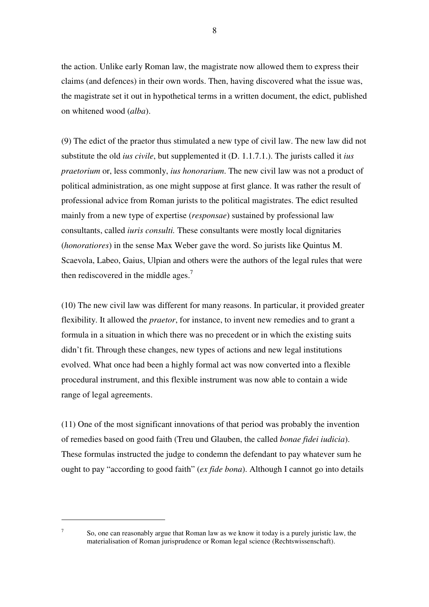the action. Unlike early Roman law, the magistrate now allowed them to express their claims (and defences) in their own words. Then, having discovered what the issue was, the magistrate set it out in hypothetical terms in a written document, the edict, published on whitened wood (*alba*).

(9) The edict of the praetor thus stimulated a new type of civil law. The new law did not substitute the old *ius civile*, but supplemented it (D. 1.1.7.1.). The jurists called it *ius praetorium* or, less commonly, *ius honorarium*. The new civil law was not a product of political administration, as one might suppose at first glance. It was rather the result of professional advice from Roman jurists to the political magistrates. The edict resulted mainly from a new type of expertise (*responsae*) sustained by professional law consultants, called *iuris consulti.* These consultants were mostly local dignitaries (*honoratiores*) in the sense Max Weber gave the word. So jurists like Quintus M. Scaevola, Labeo, Gaius, Ulpian and others were the authors of the legal rules that were then rediscovered in the middle ages.<sup>7</sup>

(10) The new civil law was different for many reasons. In particular, it provided greater flexibility. It allowed the *praetor*, for instance, to invent new remedies and to grant a formula in a situation in which there was no precedent or in which the existing suits didn't fit. Through these changes, new types of actions and new legal institutions evolved. What once had been a highly formal act was now converted into a flexible procedural instrument, and this flexible instrument was now able to contain a wide range of legal agreements.

(11) One of the most significant innovations of that period was probably the invention of remedies based on good faith (Treu und Glauben, the called *bonae fidei iudicia*). These formulas instructed the judge to condemn the defendant to pay whatever sum he ought to pay "according to good faith" (*ex fide bona*). Although I cannot go into details

 $\overline{a}$ 7

So, one can reasonably argue that Roman law as we know it today is a purely juristic law, the materialisation of Roman jurisprudence or Roman legal science (Rechtswissenschaft).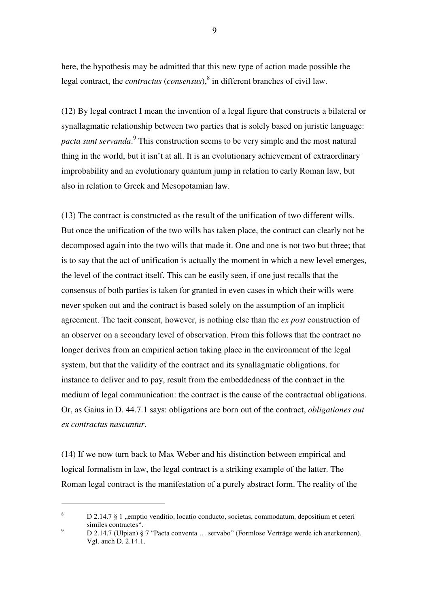here, the hypothesis may be admitted that this new type of action made possible the legal contract, the *contractus* (*consensus*),<sup>8</sup> in different branches of civil law.

(12) By legal contract I mean the invention of a legal figure that constructs a bilateral or synallagmatic relationship between two parties that is solely based on juristic language: pacta sunt servanda.<sup>9</sup> This construction seems to be very simple and the most natural thing in the world, but it isn't at all. It is an evolutionary achievement of extraordinary improbability and an evolutionary quantum jump in relation to early Roman law, but also in relation to Greek and Mesopotamian law.

(13) The contract is constructed as the result of the unification of two different wills. But once the unification of the two wills has taken place, the contract can clearly not be decomposed again into the two wills that made it. One and one is not two but three; that is to say that the act of unification is actually the moment in which a new level emerges, the level of the contract itself. This can be easily seen, if one just recalls that the consensus of both parties is taken for granted in even cases in which their wills were never spoken out and the contract is based solely on the assumption of an implicit agreement. The tacit consent, however, is nothing else than the *ex post* construction of an observer on a secondary level of observation. From this follows that the contract no longer derives from an empirical action taking place in the environment of the legal system, but that the validity of the contract and its synallagmatic obligations, for instance to deliver and to pay, result from the embeddedness of the contract in the medium of legal communication: the contract is the cause of the contractual obligations. Or, as Gaius in D. 44.7.1 says: obligations are born out of the contract, *obligationes aut ex contractus nascuntur*.

(14) If we now turn back to Max Weber and his distinction between empirical and logical formalism in law, the legal contract is a striking example of the latter. The Roman legal contract is the manifestation of a purely abstract form. The reality of the

 $\overline{a}$ 

<sup>8</sup> D 2.14.7 § 1 "emptio venditio, locatio conducto, societas, commodatum, depositium et ceteri similes contractes".

<sup>9</sup> D 2.14.7 (Ulpian) § 7 "Pacta conventa … servabo" (Formlose Verträge werde ich anerkennen). Vgl. auch D. 2.14.1.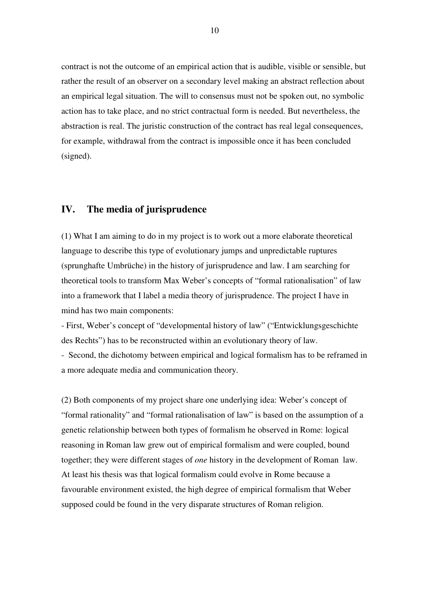contract is not the outcome of an empirical action that is audible, visible or sensible, but rather the result of an observer on a secondary level making an abstract reflection about an empirical legal situation. The will to consensus must not be spoken out, no symbolic action has to take place, and no strict contractual form is needed. But nevertheless, the abstraction is real. The juristic construction of the contract has real legal consequences, for example, withdrawal from the contract is impossible once it has been concluded (signed).

## **IV. The media of jurisprudence**

(1) What I am aiming to do in my project is to work out a more elaborate theoretical language to describe this type of evolutionary jumps and unpredictable ruptures (sprunghafte Umbrüche) in the history of jurisprudence and law. I am searching for theoretical tools to transform Max Weber's concepts of "formal rationalisation" of law into a framework that I label a media theory of jurisprudence. The project I have in mind has two main components:

- First, Weber's concept of "developmental history of law" ("Entwicklungsgeschichte des Rechts") has to be reconstructed within an evolutionary theory of law.

- Second, the dichotomy between empirical and logical formalism has to be reframed in a more adequate media and communication theory.

(2) Both components of my project share one underlying idea: Weber's concept of "formal rationality" and "formal rationalisation of law" is based on the assumption of a genetic relationship between both types of formalism he observed in Rome: logical reasoning in Roman law grew out of empirical formalism and were coupled, bound together; they were different stages of *one* history in the development of Roman law. At least his thesis was that logical formalism could evolve in Rome because a favourable environment existed, the high degree of empirical formalism that Weber supposed could be found in the very disparate structures of Roman religion.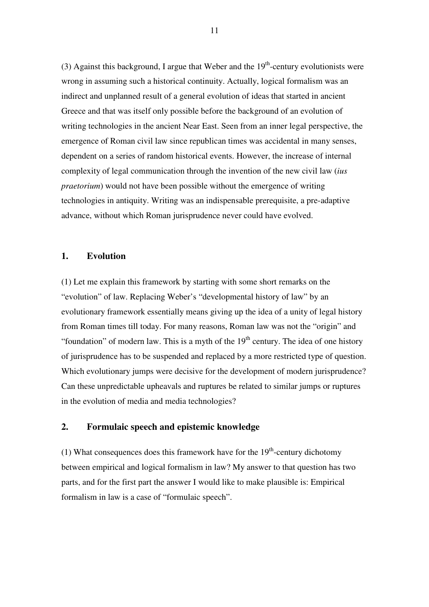(3) Against this background, I argue that Weber and the  $19<sup>th</sup>$ -century evolutionists were wrong in assuming such a historical continuity. Actually, logical formalism was an indirect and unplanned result of a general evolution of ideas that started in ancient Greece and that was itself only possible before the background of an evolution of writing technologies in the ancient Near East. Seen from an inner legal perspective, the emergence of Roman civil law since republican times was accidental in many senses, dependent on a series of random historical events. However, the increase of internal complexity of legal communication through the invention of the new civil law (*ius praetorium*) would not have been possible without the emergence of writing technologies in antiquity. Writing was an indispensable prerequisite, a pre-adaptive advance, without which Roman jurisprudence never could have evolved.

#### **1. Evolution**

(1) Let me explain this framework by starting with some short remarks on the "evolution" of law. Replacing Weber's "developmental history of law" by an evolutionary framework essentially means giving up the idea of a unity of legal history from Roman times till today. For many reasons, Roman law was not the "origin" and "foundation" of modern law. This is a myth of the  $19<sup>th</sup>$  century. The idea of one history of jurisprudence has to be suspended and replaced by a more restricted type of question. Which evolutionary jumps were decisive for the development of modern jurisprudence? Can these unpredictable upheavals and ruptures be related to similar jumps or ruptures in the evolution of media and media technologies?

#### **2. Formulaic speech and epistemic knowledge**

(1) What consequences does this framework have for the  $19<sup>th</sup>$ -century dichotomy between empirical and logical formalism in law? My answer to that question has two parts, and for the first part the answer I would like to make plausible is: Empirical formalism in law is a case of "formulaic speech".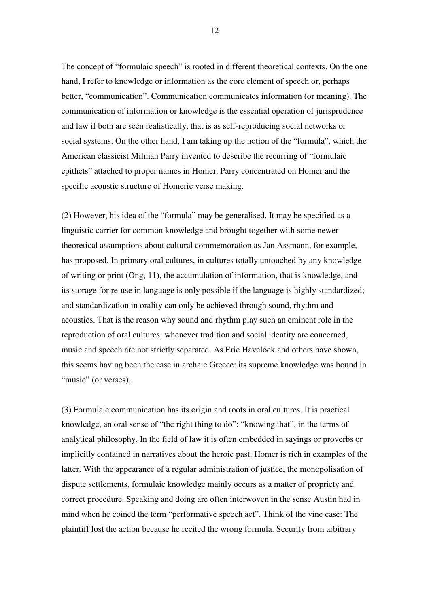The concept of "formulaic speech" is rooted in different theoretical contexts. On the one hand, I refer to knowledge or information as the core element of speech or, perhaps better, "communication". Communication communicates information (or meaning). The communication of information or knowledge is the essential operation of jurisprudence and law if both are seen realistically, that is as self-reproducing social networks or social systems. On the other hand, I am taking up the notion of the "formula", which the American classicist Milman Parry invented to describe the recurring of "formulaic epithets" attached to proper names in Homer. Parry concentrated on Homer and the specific acoustic structure of Homeric verse making.

(2) However, his idea of the "formula" may be generalised. It may be specified as a linguistic carrier for common knowledge and brought together with some newer theoretical assumptions about cultural commemoration as Jan Assmann, for example, has proposed. In primary oral cultures, in cultures totally untouched by any knowledge of writing or print (Ong, 11), the accumulation of information, that is knowledge, and its storage for re-use in language is only possible if the language is highly standardized; and standardization in orality can only be achieved through sound, rhythm and acoustics. That is the reason why sound and rhythm play such an eminent role in the reproduction of oral cultures: whenever tradition and social identity are concerned, music and speech are not strictly separated. As Eric Havelock and others have shown, this seems having been the case in archaic Greece: its supreme knowledge was bound in "music" (or verses).

(3) Formulaic communication has its origin and roots in oral cultures. It is practical knowledge, an oral sense of "the right thing to do": "knowing that", in the terms of analytical philosophy. In the field of law it is often embedded in sayings or proverbs or implicitly contained in narratives about the heroic past. Homer is rich in examples of the latter. With the appearance of a regular administration of justice, the monopolisation of dispute settlements, formulaic knowledge mainly occurs as a matter of propriety and correct procedure. Speaking and doing are often interwoven in the sense Austin had in mind when he coined the term "performative speech act". Think of the vine case: The plaintiff lost the action because he recited the wrong formula. Security from arbitrary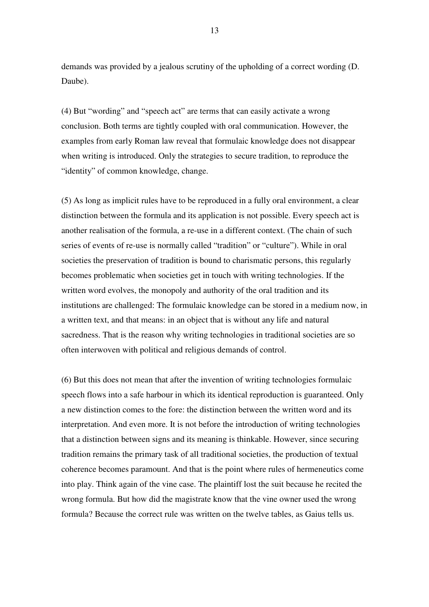demands was provided by a jealous scrutiny of the upholding of a correct wording (D. Daube).

(4) But "wording" and "speech act" are terms that can easily activate a wrong conclusion. Both terms are tightly coupled with oral communication. However, the examples from early Roman law reveal that formulaic knowledge does not disappear when writing is introduced. Only the strategies to secure tradition, to reproduce the "identity" of common knowledge, change.

(5) As long as implicit rules have to be reproduced in a fully oral environment, a clear distinction between the formula and its application is not possible. Every speech act is another realisation of the formula, a re-use in a different context. (The chain of such series of events of re-use is normally called "tradition" or "culture"). While in oral societies the preservation of tradition is bound to charismatic persons, this regularly becomes problematic when societies get in touch with writing technologies. If the written word evolves, the monopoly and authority of the oral tradition and its institutions are challenged: The formulaic knowledge can be stored in a medium now, in a written text, and that means: in an object that is without any life and natural sacredness. That is the reason why writing technologies in traditional societies are so often interwoven with political and religious demands of control.

(6) But this does not mean that after the invention of writing technologies formulaic speech flows into a safe harbour in which its identical reproduction is guaranteed. Only a new distinction comes to the fore: the distinction between the written word and its interpretation. And even more. It is not before the introduction of writing technologies that a distinction between signs and its meaning is thinkable. However, since securing tradition remains the primary task of all traditional societies, the production of textual coherence becomes paramount. And that is the point where rules of hermeneutics come into play. Think again of the vine case. The plaintiff lost the suit because he recited the wrong formula. But how did the magistrate know that the vine owner used the wrong formula? Because the correct rule was written on the twelve tables, as Gaius tells us.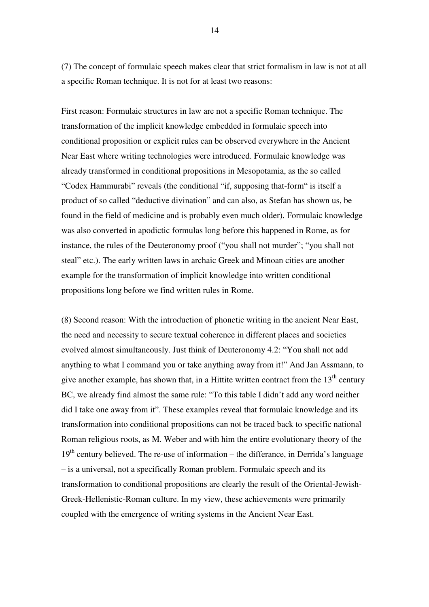(7) The concept of formulaic speech makes clear that strict formalism in law is not at all a specific Roman technique. It is not for at least two reasons:

First reason: Formulaic structures in law are not a specific Roman technique. The transformation of the implicit knowledge embedded in formulaic speech into conditional proposition or explicit rules can be observed everywhere in the Ancient Near East where writing technologies were introduced. Formulaic knowledge was already transformed in conditional propositions in Mesopotamia, as the so called "Codex Hammurabi" reveals (the conditional "if, supposing that-form" is itself a product of so called "deductive divination" and can also, as Stefan has shown us, be found in the field of medicine and is probably even much older). Formulaic knowledge was also converted in apodictic formulas long before this happened in Rome, as for instance, the rules of the Deuteronomy proof ("you shall not murder"; "you shall not steal" etc.). The early written laws in archaic Greek and Minoan cities are another example for the transformation of implicit knowledge into written conditional propositions long before we find written rules in Rome.

(8) Second reason: With the introduction of phonetic writing in the ancient Near East, the need and necessity to secure textual coherence in different places and societies evolved almost simultaneously. Just think of Deuteronomy 4.2: "You shall not add anything to what I command you or take anything away from it!" And Jan Assmann, to give another example, has shown that, in a Hittite written contract from the  $13<sup>th</sup>$  century BC, we already find almost the same rule: "To this table I didn't add any word neither did I take one away from it". These examples reveal that formulaic knowledge and its transformation into conditional propositions can not be traced back to specific national Roman religious roots, as M. Weber and with him the entire evolutionary theory of the  $19<sup>th</sup>$  century believed. The re-use of information – the differance, in Derrida's language – is a universal, not a specifically Roman problem. Formulaic speech and its transformation to conditional propositions are clearly the result of the Oriental-Jewish-Greek-Hellenistic-Roman culture. In my view, these achievements were primarily coupled with the emergence of writing systems in the Ancient Near East.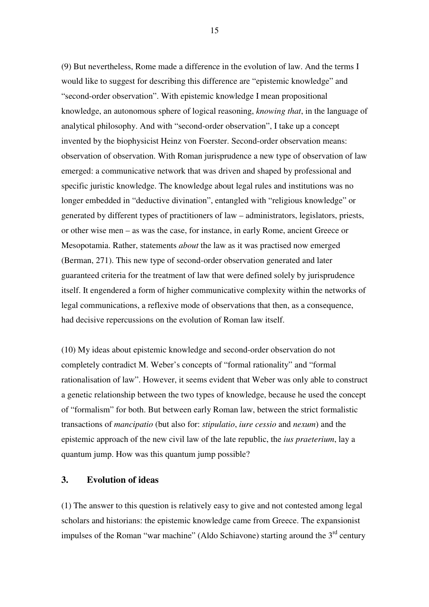(9) But nevertheless, Rome made a difference in the evolution of law. And the terms I would like to suggest for describing this difference are "epistemic knowledge" and "second-order observation". With epistemic knowledge I mean propositional knowledge, an autonomous sphere of logical reasoning, *knowing that*, in the language of analytical philosophy. And with "second-order observation", I take up a concept invented by the biophysicist Heinz von Foerster. Second-order observation means: observation of observation. With Roman jurisprudence a new type of observation of law emerged: a communicative network that was driven and shaped by professional and specific juristic knowledge. The knowledge about legal rules and institutions was no longer embedded in "deductive divination", entangled with "religious knowledge" or generated by different types of practitioners of law – administrators, legislators, priests, or other wise men – as was the case, for instance, in early Rome, ancient Greece or Mesopotamia. Rather, statements *about* the law as it was practised now emerged (Berman, 271). This new type of second-order observation generated and later guaranteed criteria for the treatment of law that were defined solely by jurisprudence itself. It engendered a form of higher communicative complexity within the networks of legal communications, a reflexive mode of observations that then, as a consequence, had decisive repercussions on the evolution of Roman law itself.

(10) My ideas about epistemic knowledge and second-order observation do not completely contradict M. Weber's concepts of "formal rationality" and "formal rationalisation of law". However, it seems evident that Weber was only able to construct a genetic relationship between the two types of knowledge, because he used the concept of "formalism" for both. But between early Roman law, between the strict formalistic transactions of *mancipatio* (but also for: *stipulatio*, *iure cessio* and *nexum*) and the epistemic approach of the new civil law of the late republic, the *ius praeterium*, lay a quantum jump. How was this quantum jump possible?

### **3. Evolution of ideas**

(1) The answer to this question is relatively easy to give and not contested among legal scholars and historians: the epistemic knowledge came from Greece. The expansionist impulses of the Roman "war machine" (Aldo Schiavone) starting around the 3<sup>rd</sup> century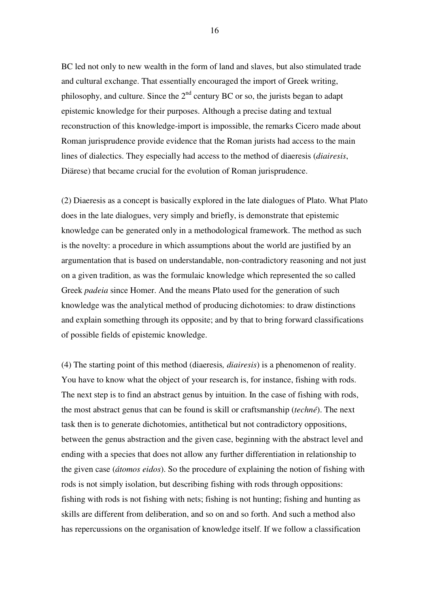BC led not only to new wealth in the form of land and slaves, but also stimulated trade and cultural exchange. That essentially encouraged the import of Greek writing, philosophy, and culture. Since the  $2<sup>nd</sup>$  century BC or so, the jurists began to adapt epistemic knowledge for their purposes. Although a precise dating and textual reconstruction of this knowledge-import is impossible, the remarks Cicero made about Roman jurisprudence provide evidence that the Roman jurists had access to the main lines of dialectics. They especially had access to the method of diaeresis (*diairesis*, Diärese) that became crucial for the evolution of Roman jurisprudence.

(2) Diaeresis as a concept is basically explored in the late dialogues of Plato. What Plato does in the late dialogues, very simply and briefly, is demonstrate that epistemic knowledge can be generated only in a methodological framework. The method as such is the novelty: a procedure in which assumptions about the world are justified by an argumentation that is based on understandable, non-contradictory reasoning and not just on a given tradition, as was the formulaic knowledge which represented the so called Greek *padeia* since Homer. And the means Plato used for the generation of such knowledge was the analytical method of producing dichotomies: to draw distinctions and explain something through its opposite; and by that to bring forward classifications of possible fields of epistemic knowledge.

(4) The starting point of this method (diaeresis*, diairesis*) is a phenomenon of reality. You have to know what the object of your research is, for instance, fishing with rods. The next step is to find an abstract genus by intuition. In the case of fishing with rods, the most abstract genus that can be found is skill or craftsmanship (*techné*). The next task then is to generate dichotomies, antithetical but not contradictory oppositions, between the genus abstraction and the given case, beginning with the abstract level and ending with a species that does not allow any further differentiation in relationship to the given case (*átomos eidos*). So the procedure of explaining the notion of fishing with rods is not simply isolation, but describing fishing with rods through oppositions: fishing with rods is not fishing with nets; fishing is not hunting; fishing and hunting as skills are different from deliberation, and so on and so forth. And such a method also has repercussions on the organisation of knowledge itself. If we follow a classification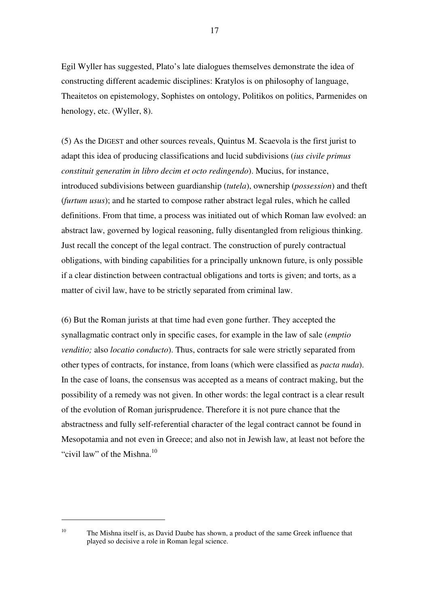Egil Wyller has suggested, Plato's late dialogues themselves demonstrate the idea of constructing different academic disciplines: Kratylos is on philosophy of language, Theaitetos on epistemology, Sophistes on ontology, Politikos on politics, Parmenides on henology, etc. (Wyller, 8).

(5) As the DIGEST and other sources reveals, Quintus M. Scaevola is the first jurist to adapt this idea of producing classifications and lucid subdivisions (*ius civile primus constituit generatim in libro decim et octo redingendo*). Mucius, for instance, introduced subdivisions between guardianship (*tutela*), ownership (*possession*) and theft (*furtum usus*); and he started to compose rather abstract legal rules, which he called definitions. From that time, a process was initiated out of which Roman law evolved: an abstract law, governed by logical reasoning, fully disentangled from religious thinking. Just recall the concept of the legal contract. The construction of purely contractual obligations, with binding capabilities for a principally unknown future, is only possible if a clear distinction between contractual obligations and torts is given; and torts, as a matter of civil law, have to be strictly separated from criminal law.

(6) But the Roman jurists at that time had even gone further. They accepted the synallagmatic contract only in specific cases, for example in the law of sale (*emptio venditio;* also *locatio conducto*). Thus, contracts for sale were strictly separated from other types of contracts, for instance, from loans (which were classified as *pacta nuda*). In the case of loans, the consensus was accepted as a means of contract making, but the possibility of a remedy was not given. In other words: the legal contract is a clear result of the evolution of Roman jurisprudence. Therefore it is not pure chance that the abstractness and fully self-referential character of the legal contract cannot be found in Mesopotamia and not even in Greece; and also not in Jewish law, at least not before the "civil law" of the Mishna.<sup>10</sup>

 $\overline{a}$ 

<sup>&</sup>lt;sup>10</sup> The Mishna itself is, as David Daube has shown, a product of the same Greek influence that played so decisive a role in Roman legal science.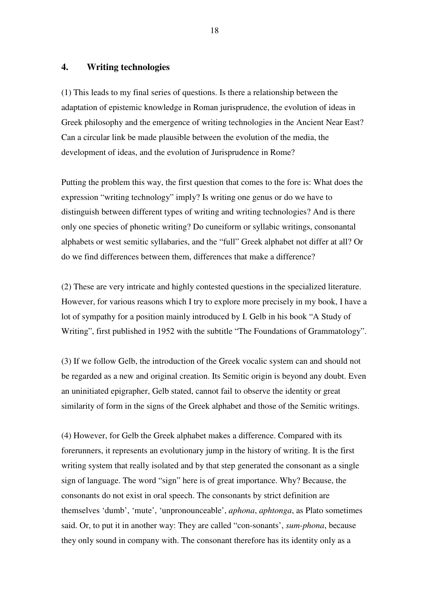### **4. Writing technologies**

(1) This leads to my final series of questions. Is there a relationship between the adaptation of epistemic knowledge in Roman jurisprudence, the evolution of ideas in Greek philosophy and the emergence of writing technologies in the Ancient Near East? Can a circular link be made plausible between the evolution of the media, the development of ideas, and the evolution of Jurisprudence in Rome?

Putting the problem this way, the first question that comes to the fore is: What does the expression "writing technology" imply? Is writing one genus or do we have to distinguish between different types of writing and writing technologies? And is there only one species of phonetic writing? Do cuneiform or syllabic writings, consonantal alphabets or west semitic syllabaries, and the "full" Greek alphabet not differ at all? Or do we find differences between them, differences that make a difference?

(2) These are very intricate and highly contested questions in the specialized literature. However, for various reasons which I try to explore more precisely in my book, I have a lot of sympathy for a position mainly introduced by I. Gelb in his book "A Study of Writing", first published in 1952 with the subtitle "The Foundations of Grammatology".

(3) If we follow Gelb, the introduction of the Greek vocalic system can and should not be regarded as a new and original creation. Its Semitic origin is beyond any doubt. Even an uninitiated epigrapher, Gelb stated, cannot fail to observe the identity or great similarity of form in the signs of the Greek alphabet and those of the Semitic writings.

(4) However, for Gelb the Greek alphabet makes a difference. Compared with its forerunners, it represents an evolutionary jump in the history of writing. It is the first writing system that really isolated and by that step generated the consonant as a single sign of language. The word "sign" here is of great importance. Why? Because, the consonants do not exist in oral speech. The consonants by strict definition are themselves 'dumb', 'mute', 'unpronounceable', *aphona*, *aphtonga*, as Plato sometimes said. Or, to put it in another way: They are called "con-sonants', *sum-phona*, because they only sound in company with. The consonant therefore has its identity only as a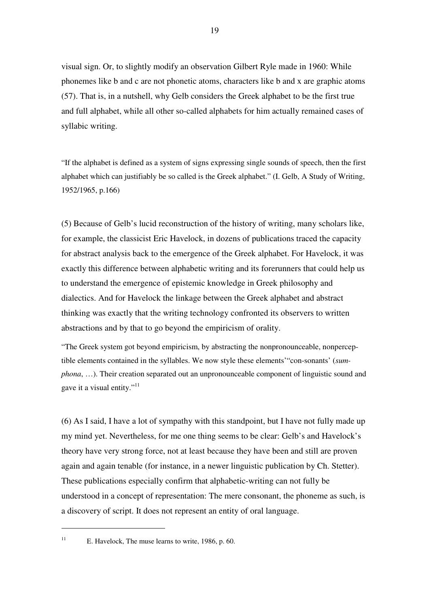visual sign. Or, to slightly modify an observation Gilbert Ryle made in 1960: While phonemes like b and c are not phonetic atoms, characters like b and x are graphic atoms (57). That is, in a nutshell, why Gelb considers the Greek alphabet to be the first true and full alphabet, while all other so-called alphabets for him actually remained cases of syllabic writing.

"If the alphabet is defined as a system of signs expressing single sounds of speech, then the first alphabet which can justifiably be so called is the Greek alphabet." (I. Gelb, A Study of Writing, 1952/1965, p.166)

(5) Because of Gelb's lucid reconstruction of the history of writing, many scholars like, for example, the classicist Eric Havelock, in dozens of publications traced the capacity for abstract analysis back to the emergence of the Greek alphabet. For Havelock, it was exactly this difference between alphabetic writing and its forerunners that could help us to understand the emergence of epistemic knowledge in Greek philosophy and dialectics. And for Havelock the linkage between the Greek alphabet and abstract thinking was exactly that the writing technology confronted its observers to written abstractions and by that to go beyond the empiricism of orality.

"The Greek system got beyond empiricism, by abstracting the nonpronounceable, nonperceptible elements contained in the syllables. We now style these elements'"con-sonants' (*sumphona*, …). Their creation separated out an unpronounceable component of linguistic sound and gave it a visual entity."<sup>11</sup>

(6) As I said, I have a lot of sympathy with this standpoint, but I have not fully made up my mind yet. Nevertheless, for me one thing seems to be clear: Gelb's and Havelock's theory have very strong force, not at least because they have been and still are proven again and again tenable (for instance, in a newer linguistic publication by Ch. Stetter). These publications especially confirm that alphabetic-writing can not fully be understood in a concept of representation: The mere consonant, the phoneme as such, is a discovery of script. It does not represent an entity of oral language.

<sup>&</sup>lt;sup>11</sup> E. Havelock, The muse learns to write, 1986, p. 60.